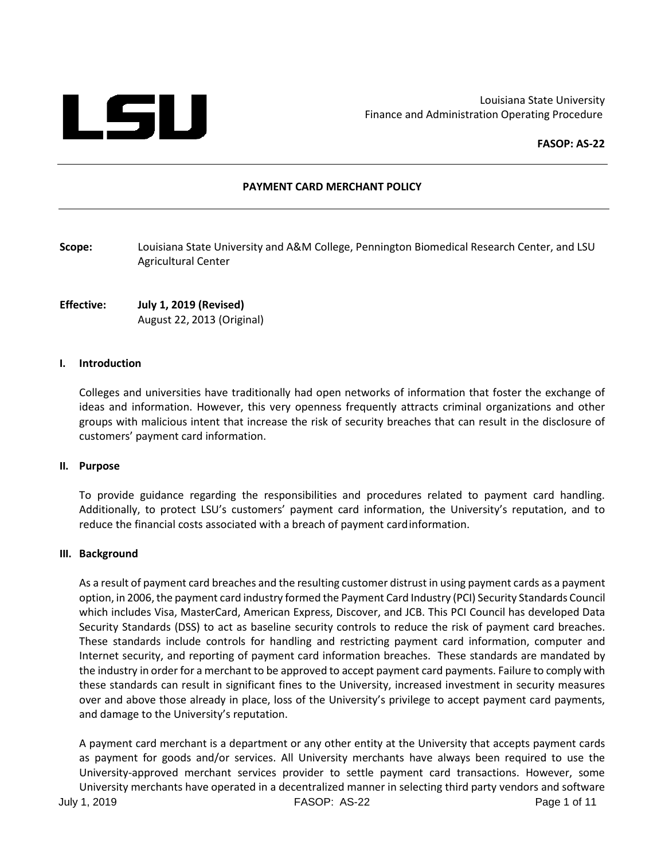

Louisiana State University Finance and Administration Operating Procedure

**FASOP: AS-22**

#### **PAYMENT CARD MERCHANT POLICY**

**Scope:** Louisiana State University and A&M College, Pennington Biomedical Research Center, and LSU Agricultural Center

**Effective: July 1, 2019 (Revised)** August 22, 2013 (Original)

#### **I. Introduction**

Colleges and universities have traditionally had open networks of information that foster the exchange of ideas and information. However, this very openness frequently attracts criminal organizations and other groups with malicious intent that increase the risk of security breaches that can result in the disclosure of customers' payment card information.

#### **II. Purpose**

To provide guidance regarding the responsibilities and procedures related to payment card handling. Additionally, to protect LSU's customers' payment card information, the University's reputation, and to reduce the financial costs associated with a breach of payment cardinformation.

#### **III. Background**

As a result of payment card breaches and the resulting customer distrust in using payment cards as a payment option, in 2006, the payment card industry formed the Payment Card Industry (PCI) Security Standards Council which includes Visa, MasterCard, American Express, Discover, and JCB. This PCI Council has developed Data Security Standards (DSS) to act as baseline security controls to reduce the risk of payment card breaches. These standards include controls for handling and restricting payment card information, computer and Internet security, and reporting of payment card information breaches. These standards are mandated by the industry in order for a merchant to be approved to accept payment card payments. Failure to comply with these standards can result in significant fines to the University, increased investment in security measures over and above those already in place, loss of the University's privilege to accept payment card payments, and damage to the University's reputation.

A payment card merchant is a department or any other entity at the University that accepts payment cards as payment for goods and/or services. All University merchants have always been required to use the University-approved merchant services provider to settle payment card transactions. However, some University merchants have operated in a decentralized manner in selecting third party vendors and software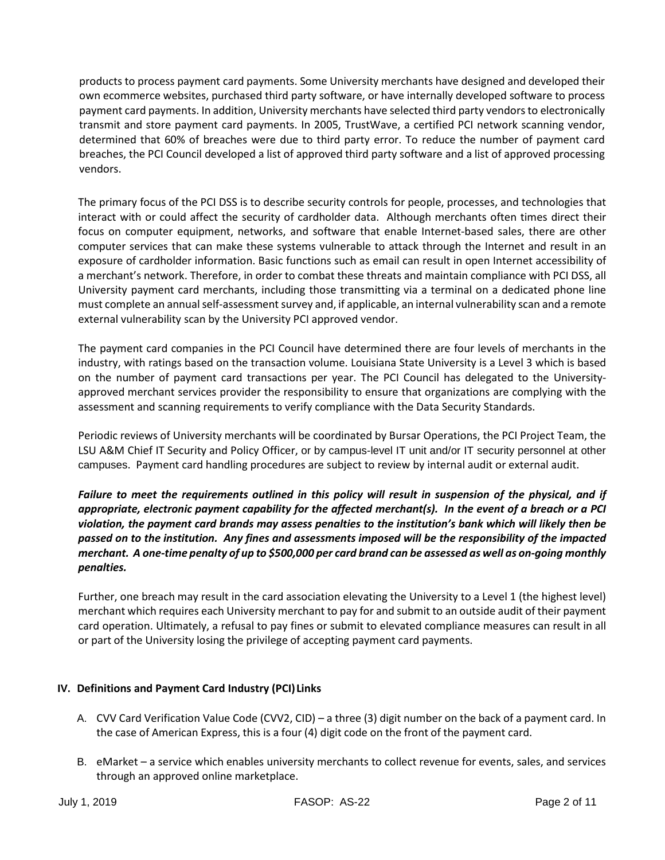products to process payment card payments. Some University merchants have designed and developed their own ecommerce websites, purchased third party software, or have internally developed software to process payment card payments. In addition, University merchants have selected third party vendors to electronically transmit and store payment card payments. In 2005, TrustWave, a certified PCI network scanning vendor, determined that 60% of breaches were due to third party error. To reduce the number of payment card breaches, the PCI Council developed a list of approved third party software and a list of approved processing vendors.

The primary focus of the PCI DSS is to describe security controls for people, processes, and technologies that interact with or could affect the security of cardholder data. Although merchants often times direct their focus on computer equipment, networks, and software that enable Internet-based sales, there are other computer services that can make these systems vulnerable to attack through the Internet and result in an exposure of cardholder information. Basic functions such as email can result in open Internet accessibility of a merchant's network. Therefore, in order to combat these threats and maintain compliance with PCI DSS, all University payment card merchants, including those transmitting via a terminal on a dedicated phone line must complete an annual self-assessment survey and, if applicable, an internal vulnerability scan and a remote external vulnerability scan by the University PCI approved vendor.

The payment card companies in the PCI Council have determined there are four levels of merchants in the industry, with ratings based on the transaction volume. Louisiana State University is a Level 3 which is based on the number of payment card transactions per year. The PCI Council has delegated to the Universityapproved merchant services provider the responsibility to ensure that organizations are complying with the assessment and scanning requirements to verify compliance with the Data Security Standards.

Periodic reviews of University merchants will be coordinated by Bursar Operations, the PCI Project Team, the LSU A&M Chief IT Security and Policy Officer, or by campus-level IT unit and/or IT security personnel at other campuses. Payment card handling procedures are subject to review by internal audit or external audit.

*Failure to meet the requirements outlined in this policy will result in suspension of the physical, and if appropriate, electronic payment capability for the affected merchant(s). In the event of a breach or a PCI violation, the payment card brands may assess penalties to the institution's bank which will likely then be passed on to the institution. Any fines and assessments imposed will be the responsibility of the impacted merchant. A one-time penalty of up to \$500,000 per card brand can be assessed as well as on-going monthly penalties.* 

Further, one breach may result in the card association elevating the University to a Level 1 (the highest level) merchant which requires each University merchant to pay for and submit to an outside audit of their payment card operation. Ultimately, a refusal to pay fines or submit to elevated compliance measures can result in all or part of the University losing the privilege of accepting payment card payments.

# **IV. Definitions and Payment Card Industry (PCI)Links**

- A. CVV Card Verification Value Code (CVV2, CID) a three (3) digit number on the back of a payment card. In the case of American Express, this is a four (4) digit code on the front of the payment card.
- B. eMarket a service which enables university merchants to collect revenue for events, sales, and services through an approved online marketplace.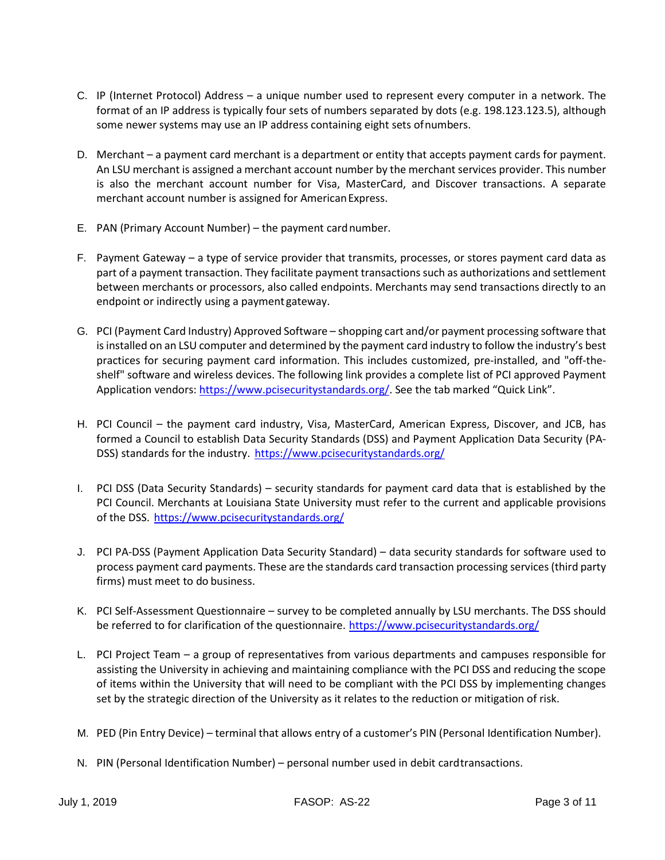- C. IP (Internet Protocol) Address a unique number used to represent every computer in a network. The format of an IP address is typically four sets of numbers separated by dots (e.g. 198.123.123.5), although some newer systems may use an IP address containing eight sets ofnumbers.
- D. Merchant a payment card merchant is a department or entity that accepts payment cards for payment. An LSU merchant is assigned a merchant account number by the merchant services provider. This number is also the merchant account number for Visa, MasterCard, and Discover transactions. A separate merchant account number is assigned for American Express.
- E. PAN (Primary Account Number) the payment cardnumber.
- F. Payment Gateway a type of service provider that transmits, processes, or stores payment card data as part of a payment transaction. They facilitate payment transactions such as authorizations and settlement between merchants or processors, also called endpoints. Merchants may send transactions directly to an endpoint or indirectly using a payment gateway.
- G. PCI (Payment Card Industry) Approved Software shopping cart and/or payment processing software that is installed on an LSU computer and determined by the payment card industry to follow the industry's best practices for securing payment card information. This includes customized, pre-installed, and "off-theshelf" software and wireless devices. The following link provides a complete list of PCI approved Payment Application vendors[: https://www.pcisecuritystandards.org/.](https://www.pcisecuritystandards.org/) See the tab marked "Quick Link".
- H. PCI Council the payment card industry, Visa, MasterCard, American Express, Discover, and JCB, has formed a Council to establish Data Security Standards (DSS) and Payment Application Data Security (PADSS) standards for the industry. <https://www.pcisecuritystandards.org/>
- I. PCI DSS (Data Security Standards) security standards for payment card data that is established by the PCI Council. Merchants at Louisiana State University must refer to the current and applicable provisions of the DSS. <https://www.pcisecuritystandards.org/>
- J. PCI PA-DSS (Payment Application Data Security Standard) data security standards for software used to process payment card payments. These are the standards card transaction processing services (third party firms) must meet to do business.
- K. PCI Self-Assessment Questionnaire survey to be completed annually by LSU merchants. The DSS should be referred to for clarification of the questionnaire. <https://www.pcisecuritystandards.org/>
- L. PCI Project Team a group of representatives from various departments and campuses responsible for assisting the University in achieving and maintaining compliance with the PCI DSS and reducing the scope of items within the University that will need to be compliant with the PCI DSS by implementing changes set by the strategic direction of the University as it relates to the reduction or mitigation of risk.
- M. PED (Pin Entry Device) terminal that allows entry of a customer's PIN (Personal Identification Number).
- N. PIN (Personal Identification Number) personal number used in debit cardtransactions.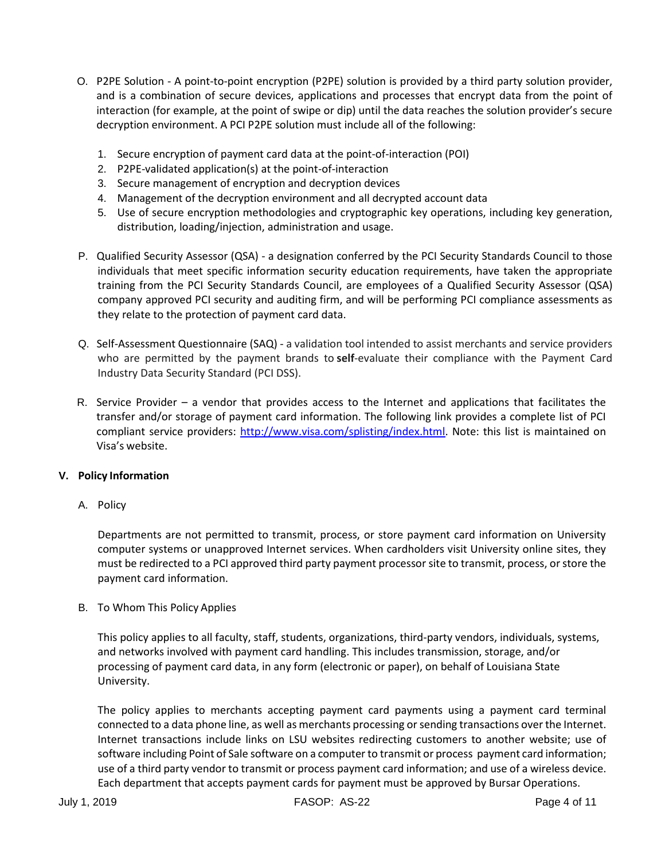- O. P2PE Solution A point-to-point encryption (P2PE) solution is provided by a third party solution provider, and is a combination of secure devices, applications and processes that encrypt data from the point of interaction (for example, at the point of swipe or dip) until the data reaches the solution provider's secure decryption environment. A PCI P2PE solution must include all of the following:
	- 1. Secure encryption of payment card data at the point-of-interaction (POI)
	- 2. P2PE-validated application(s) at the point-of-interaction
	- 3. Secure management of encryption and decryption devices
	- 4. Management of the decryption environment and all decrypted account data
	- 5. Use of secure encryption methodologies and cryptographic key operations, including key generation, distribution, loading/injection, administration and usage.
- P. Qualified Security Assessor (QSA) a designation conferred by the PCI Security Standards Council to those individuals that meet specific information security education requirements, have taken the appropriate training from the PCI Security Standards Council, are employees of a Qualified Security Assessor (QSA) company approved PCI security and auditing firm, and will be performing PCI compliance assessments as they relate to the protection of payment card data.
- Q. Self-Assessment Questionnaire (SAQ) a validation tool intended to assist merchants and service providers who are permitted by the payment brands to **self**-evaluate their compliance with the Payment Card Industry Data Security Standard (PCI DSS).
- R. Service Provider a vendor that provides access to the Internet and applications that facilitates the transfer and/or storage of payment card information. The following link provides a complete list of PCI compliant service providers: [http://www.visa.com/splisting/index.html.](http://www.visa.com/splisting/index.html) Note: this list is maintained on Visa's website.

## **V. Policy Information**

A. Policy

Departments are not permitted to transmit, process, or store payment card information on University computer systems or unapproved Internet services. When cardholders visit University online sites, they must be redirected to a PCI approved third party payment processor site to transmit, process, or store the payment card information.

B. To Whom This Policy Applies

This policy applies to all faculty, staff, students, organizations, third-party vendors, individuals, systems, and networks involved with payment card handling. This includes transmission, storage, and/or processing of payment card data, in any form (electronic or paper), on behalf of Louisiana State University.

The policy applies to merchants accepting payment card payments using a payment card terminal connected to a data phone line, as well as merchants processing or sending transactions over the Internet. Internet transactions include links on LSU websites redirecting customers to another website; use of software including Point of Sale software on a computer to transmit or process payment card information; use of a third party vendor to transmit or process payment card information; and use of a wireless device. Each department that accepts payment cards for payment must be approved by Bursar Operations.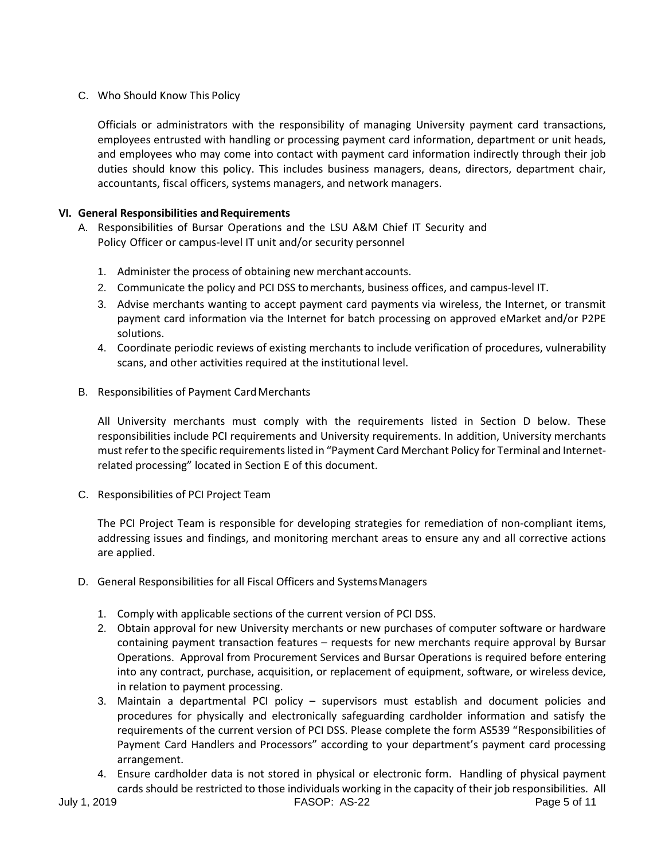# C. Who Should Know This Policy

Officials or administrators with the responsibility of managing University payment card transactions, employees entrusted with handling or processing payment card information, department or unit heads, and employees who may come into contact with payment card information indirectly through their job duties should know this policy. This includes business managers, deans, directors, department chair, accountants, fiscal officers, systems managers, and network managers.

## **VI.** General Responsibilities and Requirements

- A. Responsibilities of Bursar Operations and the LSU A&M Chief IT Security and Policy Officer or campus-level IT unit and/or security personnel
	- 1. Administer the process of obtaining new merchantaccounts.
	- 2. Communicate the policy and PCI DSS tomerchants, business offices, and campus-level IT.
	- 3. Advise merchants wanting to accept payment card payments via wireless, the Internet, or transmit payment card information via the Internet for batch processing on approved eMarket and/or P2PE solutions.
	- 4. Coordinate periodic reviews of existing merchants to include verification of procedures, vulnerability scans, and other activities required at the institutional level.
- B. Responsibilities of Payment CardMerchants

All University merchants must comply with the requirements listed in Section D below. These responsibilities include PCI requirements and University requirements. In addition, University merchants must refer to the specific requirements listed in "Payment Card Merchant Policy for Terminal and Internetrelated processing" located in Section E of this document.

C. Responsibilities of PCI Project Team

The PCI Project Team is responsible for developing strategies for remediation of non-compliant items, addressing issues and findings, and monitoring merchant areas to ensure any and all corrective actions are applied.

- D. General Responsibilities for all Fiscal Officers and SystemsManagers
	- 1. Comply with applicable sections of the current version of PCI DSS.
	- 2. Obtain approval for new University merchants or new purchases of computer software or hardware containing payment transaction features – requests for new merchants require approval by Bursar Operations. Approval from Procurement Services and Bursar Operations is required before entering into any contract, purchase, acquisition, or replacement of equipment, software, or wireless device, in relation to payment processing.
	- 3. Maintain a departmental PCI policy supervisors must establish and document policies and procedures for physically and electronically safeguarding cardholder information and satisfy the requirements of the current version of PCI DSS. Please complete the form AS539 "Responsibilities of Payment Card Handlers and Processors" according to your department's payment card processing arrangement.
	- 4. Ensure cardholder data is not stored in physical or electronic form. Handling of physical payment cards should be restricted to those individuals working in the capacity of their job responsibilities. All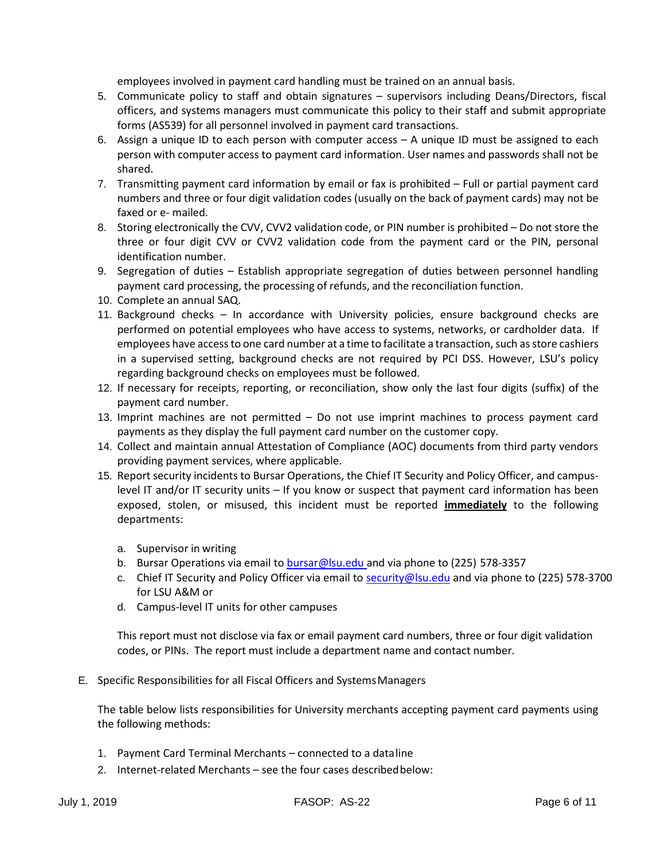employees involved in payment card handling must be trained on an annual basis.

- 5. Communicate policy to staff and obtain signatures supervisors including Deans/Directors, fiscal officers, and systems managers must communicate this policy to their staff and submit appropriate forms (AS539) for all personnel involved in payment card transactions.
- 6. Assign a unique ID to each person with computer access A unique ID must be assigned to each person with computer access to payment card information. User names and passwords shall not be shared.
- 7. Transmitting payment card information by email or fax is prohibited Full or partial payment card numbers and three or four digit validation codes (usually on the back of payment cards) may not be faxed or e- mailed.
- 8. Storing electronically the CVV, CVV2 validation code, or PIN number is prohibited Do not store the three or four digit CVV or CVV2 validation code from the payment card or the PIN, personal identification number.
- 9. Segregation of duties Establish appropriate segregation of duties between personnel handling payment card processing, the processing of refunds, and the reconciliation function.
- 10. Complete an annual SAQ.
- 11. Background checks In accordance with University policies, ensure background checks are performed on potential employees who have access to systems, networks, or cardholder data. If employees have access to one card number at a time to facilitate a transaction, such as store cashiers in a supervised setting, background checks are not required by PCI DSS. However, LSU's policy regarding background checks on employees must be followed.
- 12. If necessary for receipts, reporting, or reconciliation, show only the last four digits (suffix) of the payment card number.
- 13. Imprint machines are not permitted Do not use imprint machines to process payment card payments as they display the full payment card number on the customer copy.
- 14. Collect and maintain annual Attestation of Compliance (AOC) documents from third party vendors providing payment services, where applicable.
- 15. Report security incidents to Bursar Operations, the Chief IT Security and Policy Officer, and campuslevel IT and/or IT security units – If you know or suspect that payment card information has been exposed, stolen, or misused, this incident must be reported **immediately** to the following departments:
	- a. Supervisor in writing
	- b. Bursar Operations via email to [bursar@lsu.edu a](mailto:bursar@lsu.edu)nd via phone to (225) 578-3357
	- c. Chief IT Security and Policy Officer via email to [security@lsu.edu](mailto:security@lsu.edu) and via phone to (225) 578-3700 for LSU A&M or
	- d. Campus-level IT units for other campuses

This report must not disclose via fax or email payment card numbers, three or four digit validation codes, or PINs. The report must include a department name and contact number.

E. Specific Responsibilities for all Fiscal Officers and SystemsManagers

The table below lists responsibilities for University merchants accepting payment card payments using the following methods:

- 1. Payment Card Terminal Merchants connected to a dataline
- 2. Internet-related Merchants see the four cases describedbelow: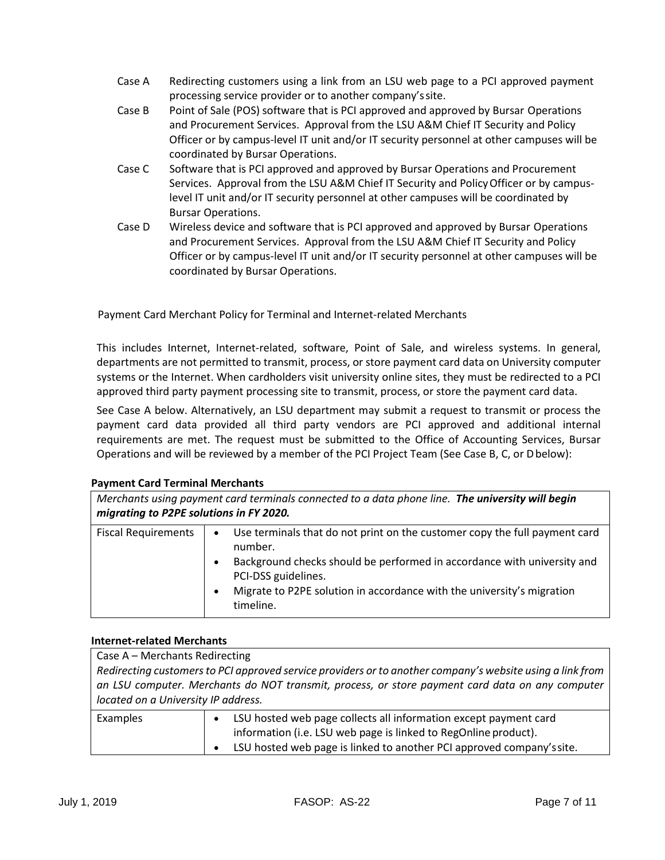- Case A Redirecting customers using a link from an LSU web page to a PCI approved payment processing service provider or to another company'ssite.
- Case B Point of Sale (POS) software that is PCI approved and approved by Bursar Operations and Procurement Services. Approval from the LSU A&M Chief IT Security and Policy Officer or by campus-level IT unit and/or IT security personnel at other campuses will be coordinated by Bursar Operations.
- Case C Software that is PCI approved and approved by Bursar Operations and Procurement Services. Approval from the LSU A&M Chief IT Security and PolicyOfficer or by campuslevel IT unit and/or IT security personnel at other campuses will be coordinated by Bursar Operations.
- Case D Wireless device and software that is PCI approved and approved by Bursar Operations and Procurement Services. Approval from the LSU A&M Chief IT Security and Policy Officer or by campus-level IT unit and/or IT security personnel at other campuses will be coordinated by Bursar Operations.

Payment Card Merchant Policy for Terminal and Internet-related Merchants

This includes Internet, Internet-related, software, Point of Sale, and wireless systems. In general, departments are not permitted to transmit, process, or store payment card data on University computer systems or the Internet. When cardholders visit university online sites, they must be redirected to a PCI approved third party payment processing site to transmit, process, or store the payment card data.

See Case A below. Alternatively, an LSU department may submit a request to transmit or process the payment card data provided all third party vendors are PCI approved and additional internal requirements are met. The request must be submitted to the Office of Accounting Services, Bursar Operations and will be reviewed by a member of the PCI Project Team (See Case B, C, or Dbelow):

## **Payment Card Terminal Merchants**

| Merchants using payment card terminals connected to a data phone line. The university will begin<br>migrating to P2PE solutions in FY 2020. |                                                                                                                                                                                                                                                                                                                       |  |
|---------------------------------------------------------------------------------------------------------------------------------------------|-----------------------------------------------------------------------------------------------------------------------------------------------------------------------------------------------------------------------------------------------------------------------------------------------------------------------|--|
| <b>Fiscal Requirements</b>                                                                                                                  | Use terminals that do not print on the customer copy the full payment card<br>$\bullet$<br>number.<br>Background checks should be performed in accordance with university and<br>$\bullet$<br>PCI-DSS guidelines.<br>Migrate to P2PE solution in accordance with the university's migration<br>$\bullet$<br>timeline. |  |

## **Internet-related Merchants**

| Case A - Merchants Redirecting                                                                            |                                                                       |  |
|-----------------------------------------------------------------------------------------------------------|-----------------------------------------------------------------------|--|
| Redirecting customers to PCI approved service providers or to another company's website using a link from |                                                                       |  |
| an LSU computer. Merchants do NOT transmit, process, or store payment card data on any computer           |                                                                       |  |
| located on a University IP address.                                                                       |                                                                       |  |
| Examples                                                                                                  | LSU hosted web page collects all information except payment card      |  |
|                                                                                                           | information (i.e. LSU web page is linked to RegOnline product).       |  |
|                                                                                                           | LSU hosted web page is linked to another PCI approved company's site. |  |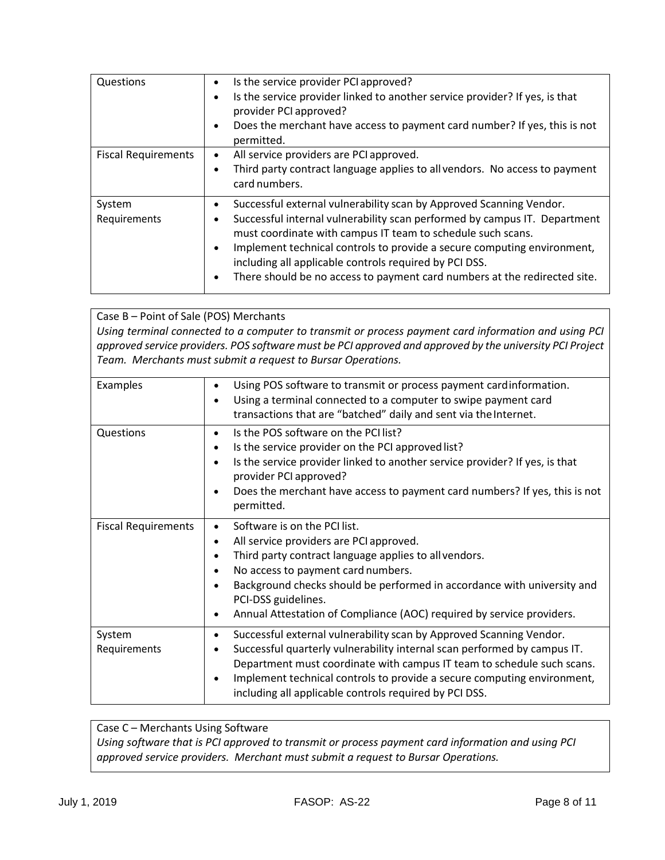| Questions                  | Is the service provider PCI approved?<br>٠<br>Is the service provider linked to another service provider? If yes, is that<br>٠<br>provider PCI approved?<br>Does the merchant have access to payment card number? If yes, this is not<br>permitted.                                                                                                                                                                                                                   |
|----------------------------|-----------------------------------------------------------------------------------------------------------------------------------------------------------------------------------------------------------------------------------------------------------------------------------------------------------------------------------------------------------------------------------------------------------------------------------------------------------------------|
| <b>Fiscal Requirements</b> | All service providers are PCI approved.<br>$\bullet$<br>Third party contract language applies to all vendors. No access to payment<br>٠<br>card numbers.                                                                                                                                                                                                                                                                                                              |
| System<br>Requirements     | Successful external vulnerability scan by Approved Scanning Vendor.<br>٠<br>Successful internal vulnerability scan performed by campus IT. Department<br>٠<br>must coordinate with campus IT team to schedule such scans.<br>Implement technical controls to provide a secure computing environment,<br>$\bullet$<br>including all applicable controls required by PCI DSS.<br>There should be no access to payment card numbers at the redirected site.<br>$\bullet$ |

Case B – Point of Sale (POS) Merchants *Using terminal connected to a computer to transmit or process payment card information and using PCI approved service providers. POS software must be PCI approved and approved by the university PCI Project Team. Merchants must submit a request to Bursar Operations.*

| Examples                   | Using POS software to transmit or process payment cardinformation.<br>$\bullet$<br>Using a terminal connected to a computer to swipe payment card<br>transactions that are "batched" daily and sent via the Internet.                                                                                                                                                                    |
|----------------------------|------------------------------------------------------------------------------------------------------------------------------------------------------------------------------------------------------------------------------------------------------------------------------------------------------------------------------------------------------------------------------------------|
| Questions                  | Is the POS software on the PCI list?<br>$\bullet$<br>Is the service provider on the PCI approved list?<br>$\bullet$<br>Is the service provider linked to another service provider? If yes, is that<br>provider PCI approved?<br>Does the merchant have access to payment card numbers? If yes, this is not<br>permitted.                                                                 |
| <b>Fiscal Requirements</b> | Software is on the PCI list.<br>All service providers are PCI approved.<br>$\bullet$<br>Third party contract language applies to all vendors.<br>No access to payment card numbers.<br>Background checks should be performed in accordance with university and<br>PCI-DSS guidelines.<br>Annual Attestation of Compliance (AOC) required by service providers.                           |
| System<br>Requirements     | Successful external vulnerability scan by Approved Scanning Vendor.<br>$\bullet$<br>Successful quarterly vulnerability internal scan performed by campus IT.<br>Department must coordinate with campus IT team to schedule such scans.<br>Implement technical controls to provide a secure computing environment,<br>$\bullet$<br>including all applicable controls required by PCI DSS. |

# Case C – Merchants Using Software *Using software that is PCI approved to transmit or process payment card information and using PCI approved service providers. Merchant must submit a request to Bursar Operations.*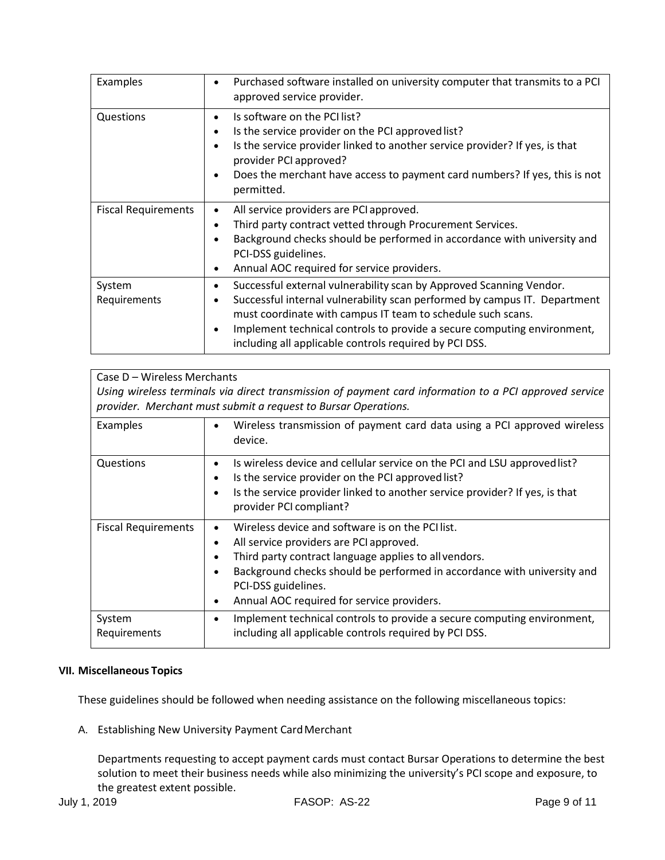| Examples                   | Purchased software installed on university computer that transmits to a PCI<br>approved service provider.                                                                                                                                                                                                                                                           |
|----------------------------|---------------------------------------------------------------------------------------------------------------------------------------------------------------------------------------------------------------------------------------------------------------------------------------------------------------------------------------------------------------------|
| Questions                  | Is software on the PCI list?<br>Is the service provider on the PCI approved list?<br>$\bullet$<br>Is the service provider linked to another service provider? If yes, is that<br>$\bullet$<br>provider PCI approved?<br>Does the merchant have access to payment card numbers? If yes, this is not<br>permitted.                                                    |
| <b>Fiscal Requirements</b> | All service providers are PCI approved.<br>٠<br>Third party contract vetted through Procurement Services.<br>٠<br>Background checks should be performed in accordance with university and<br>PCI-DSS guidelines.<br>Annual AOC required for service providers.                                                                                                      |
| System<br>Requirements     | Successful external vulnerability scan by Approved Scanning Vendor.<br>٠<br>Successful internal vulnerability scan performed by campus IT. Department<br>٠<br>must coordinate with campus IT team to schedule such scans.<br>Implement technical controls to provide a secure computing environment,<br>٠<br>including all applicable controls required by PCI DSS. |

| Case D - Wireless Merchants                                                                            |                                                                                                                                                  |  |
|--------------------------------------------------------------------------------------------------------|--------------------------------------------------------------------------------------------------------------------------------------------------|--|
| Using wireless terminals via direct transmission of payment card information to a PCI approved service |                                                                                                                                                  |  |
| provider. Merchant must submit a request to Bursar Operations.                                         |                                                                                                                                                  |  |
| Examples                                                                                               | Wireless transmission of payment card data using a PCI approved wireless<br>$\bullet$<br>device.                                                 |  |
| Questions                                                                                              | Is wireless device and cellular service on the PCI and LSU approved list?<br>٠<br>Is the service provider on the PCI approved list?<br>$\bullet$ |  |
|                                                                                                        | Is the service provider linked to another service provider? If yes, is that<br>$\bullet$<br>provider PCI compliant?                              |  |
| <b>Fiscal Requirements</b>                                                                             | Wireless device and software is on the PCI list.                                                                                                 |  |
|                                                                                                        | All service providers are PCI approved.<br>٠                                                                                                     |  |
|                                                                                                        | Third party contract language applies to all vendors.<br>$\bullet$                                                                               |  |
|                                                                                                        | Background checks should be performed in accordance with university and<br>$\bullet$                                                             |  |
|                                                                                                        | PCI-DSS guidelines.                                                                                                                              |  |
|                                                                                                        | Annual AOC required for service providers.<br>٠                                                                                                  |  |
| System                                                                                                 | Implement technical controls to provide a secure computing environment,<br>$\bullet$                                                             |  |
| Requirements                                                                                           | including all applicable controls required by PCI DSS.                                                                                           |  |

# **VII. Miscellaneous Topics**

These guidelines should be followed when needing assistance on the following miscellaneous topics:

A. Establishing New University Payment CardMerchant

Departments requesting to accept payment cards must contact Bursar Operations to determine the best solution to meet their business needs while also minimizing the university's PCI scope and exposure, to the greatest extent possible.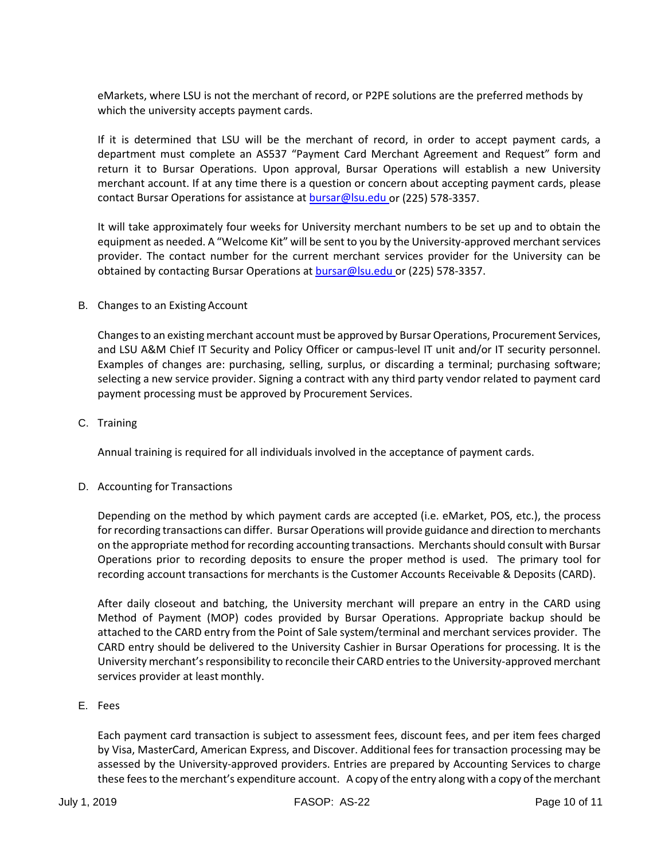eMarkets, where LSU is not the merchant of record, or P2PE solutions are the preferred methods by which the university accepts payment cards.

If it is determined that LSU will be the merchant of record, in order to accept payment cards, a department must complete an AS537 "Payment Card Merchant Agreement and Request" form and return it to Bursar Operations. Upon approval, Bursar Operations will establish a new University merchant account. If at any time there is a question or concern about accepting payment cards, please contact Bursar Operations for assistance a[t bursar@lsu.edu o](mailto:bursar@lsu.edu)r (225) 578-3357.

It will take approximately four weeks for University merchant numbers to be set up and to obtain the equipment as needed. A "Welcome Kit" will be sent to you by the University-approved merchant services provider. The contact number for the current merchant services provider for the University can be obtained by contacting Bursar Operations a[t bursar@lsu.edu o](mailto:bursar@lsu.edu)r (225) 578-3357.

B. Changes to an Existing Account

Changes to an existing merchant account must be approved by Bursar Operations, Procurement Services, and LSU A&M Chief IT Security and Policy Officer or campus-level IT unit and/or IT security personnel. Examples of changes are: purchasing, selling, surplus, or discarding a terminal; purchasing software; selecting a new service provider. Signing a contract with any third party vendor related to payment card payment processing must be approved by Procurement Services.

C. Training

Annual training is required for all individuals involved in the acceptance of payment cards.

## D. Accounting for Transactions

Depending on the method by which payment cards are accepted (i.e. eMarket, POS, etc.), the process for recording transactions can differ. Bursar Operations will provide guidance and direction to merchants on the appropriate method for recording accounting transactions. Merchants should consult with Bursar Operations prior to recording deposits to ensure the proper method is used. The primary tool for recording account transactions for merchants is the Customer Accounts Receivable & Deposits (CARD).

After daily closeout and batching, the University merchant will prepare an entry in the CARD using Method of Payment (MOP) codes provided by Bursar Operations. Appropriate backup should be attached to the CARD entry from the Point of Sale system/terminal and merchant services provider. The CARD entry should be delivered to the University Cashier in Bursar Operations for processing. It is the University merchant's responsibility to reconcile their CARD entries to the University-approved merchant services provider at least monthly.

## E. Fees

Each payment card transaction is subject to assessment fees, discount fees, and per item fees charged by Visa, MasterCard, American Express, and Discover. Additional fees for transaction processing may be assessed by the University-approved providers. Entries are prepared by Accounting Services to charge these fees to the merchant's expenditure account. A copy of the entry along with a copy of the merchant